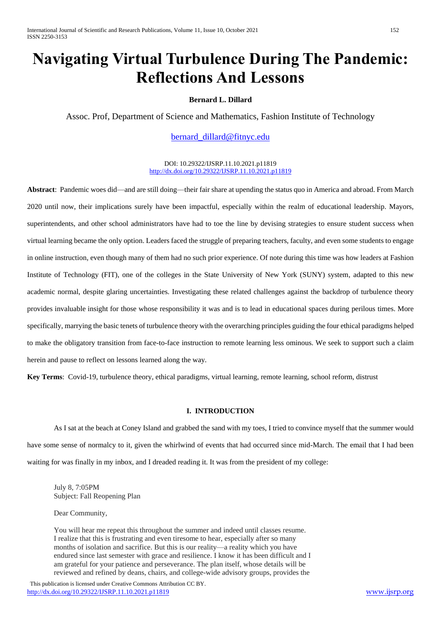# **Navigating Virtual Turbulence During The Pandemic: Reflections And Lessons**

# **Bernard L. Dillard**

Assoc. Prof, Department of Science and Mathematics, Fashion Institute of Technology

[bernard\\_dillard@fitnyc.edu](mailto:bernard_dillard@fitnyc.edu)

DOI: 10.29322/IJSRP.11.10.2021.p11819 <http://dx.doi.org/10.29322/IJSRP.11.10.2021.p11819>

**Abstract**: Pandemic woes did––and are still doing––their fair share at upending the status quo in America and abroad. From March 2020 until now, their implications surely have been impactful, especially within the realm of educational leadership. Mayors, superintendents, and other school administrators have had to toe the line by devising strategies to ensure student success when virtual learning became the only option. Leaders faced the struggle of preparing teachers, faculty, and even some students to engage in online instruction, even though many of them had no such prior experience. Of note during this time was how leaders at Fashion Institute of Technology (FIT), one of the colleges in the State University of New York (SUNY) system, adapted to this new academic normal, despite glaring uncertainties. Investigating these related challenges against the backdrop of turbulence theory provides invaluable insight for those whose responsibility it was and is to lead in educational spaces during perilous times. More specifically, marrying the basic tenets of turbulence theory with the overarching principles guiding the four ethical paradigms helped to make the obligatory transition from face-to-face instruction to remote learning less ominous. We seek to support such a claim herein and pause to reflect on lessons learned along the way.

**Key Terms**: Covid-19, turbulence theory, ethical paradigms, virtual learning, remote learning, school reform, distrust

## **I. INTRODUCTION**

As I sat at the beach at Coney Island and grabbed the sand with my toes, I tried to convince myself that the summer would have some sense of normalcy to it, given the whirlwind of events that had occurred since mid-March. The email that I had been waiting for was finally in my inbox, and I dreaded reading it. It was from the president of my college:

July 8, 7:05PM Subject: Fall Reopening Plan

Dear Community,

You will hear me repeat this throughout the summer and indeed until classes resume. I realize that this is frustrating and even tiresome to hear, especially after so many months of isolation and sacrifice. But this is our reality—a reality which you have endured since last semester with grace and resilience. I know it has been difficult and I am grateful for your patience and perseverance. The plan itself, whose details will be reviewed and refined by deans, chairs, and college-wide advisory groups, provides the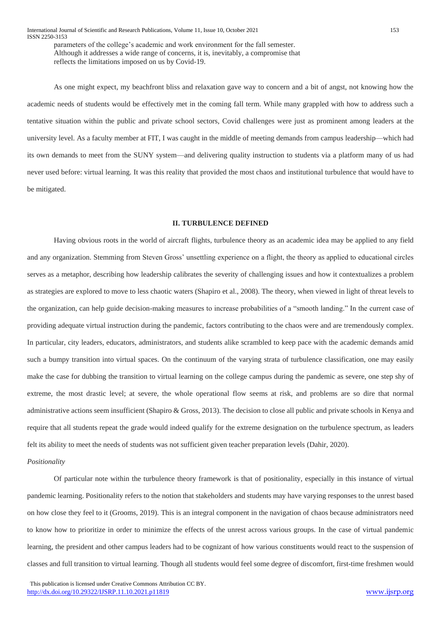parameters of the college's academic and work environment for the fall semester. Although it addresses a wide range of concerns, it is, inevitably, a compromise that reflects the limitations imposed on us by Covid-19.

As one might expect, my beachfront bliss and relaxation gave way to concern and a bit of angst, not knowing how the academic needs of students would be effectively met in the coming fall term. While many grappled with how to address such a tentative situation within the public and private school sectors, Covid challenges were just as prominent among leaders at the university level. As a faculty member at FIT, I was caught in the middle of meeting demands from campus leadership––which had its own demands to meet from the SUNY system––and delivering quality instruction to students via a platform many of us had never used before: virtual learning. It was this reality that provided the most chaos and institutional turbulence that would have to be mitigated.

# **II. TURBULENCE DEFINED**

Having obvious roots in the world of aircraft flights, turbulence theory as an academic idea may be applied to any field and any organization. Stemming from Steven Gross' unsettling experience on a flight, the theory as applied to educational circles serves as a metaphor, describing how leadership calibrates the severity of challenging issues and how it contextualizes a problem as strategies are explored to move to less chaotic waters (Shapiro et al., 2008). The theory, when viewed in light of threat levels to the organization, can help guide decision-making measures to increase probabilities of a "smooth landing." In the current case of providing adequate virtual instruction during the pandemic, factors contributing to the chaos were and are tremendously complex. In particular, city leaders, educators, administrators, and students alike scrambled to keep pace with the academic demands amid such a bumpy transition into virtual spaces. On the continuum of the varying strata of turbulence classification, one may easily make the case for dubbing the transition to virtual learning on the college campus during the pandemic as severe, one step shy of extreme, the most drastic level; at severe, the whole operational flow seems at risk, and problems are so dire that normal administrative actions seem insufficient (Shapiro & Gross, 2013). The decision to close all public and private schools in Kenya and require that all students repeat the grade would indeed qualify for the extreme designation on the turbulence spectrum, as leaders felt its ability to meet the needs of students was not sufficient given teacher preparation levels (Dahir, 2020).

## *Positionality*

Of particular note within the turbulence theory framework is that of positionality, especially in this instance of virtual pandemic learning. Positionality refers to the notion that stakeholders and students may have varying responses to the unrest based on how close they feel to it (Grooms, 2019). This is an integral component in the navigation of chaos because administrators need to know how to prioritize in order to minimize the effects of the unrest across various groups. In the case of virtual pandemic learning, the president and other campus leaders had to be cognizant of how various constituents would react to the suspension of classes and full transition to virtual learning. Though all students would feel some degree of discomfort, first-time freshmen would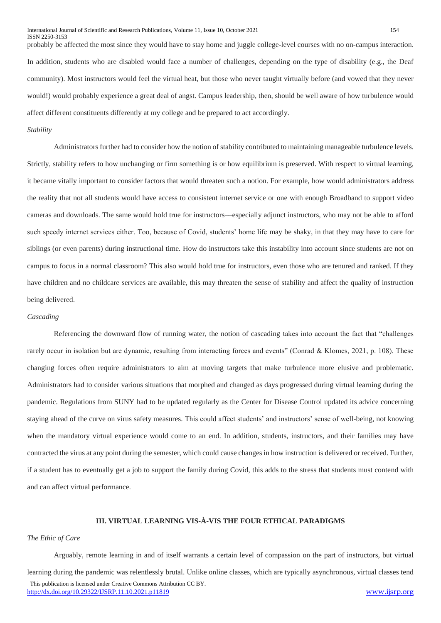probably be affected the most since they would have to stay home and juggle college-level courses with no on-campus interaction. In addition, students who are disabled would face a number of challenges, depending on the type of disability (e.g., the Deaf community). Most instructors would feel the virtual heat, but those who never taught virtually before (and vowed that they never would!) would probably experience a great deal of angst. Campus leadership, then, should be well aware of how turbulence would affect different constituents differently at my college and be prepared to act accordingly.

## *Stability*

Administrators further had to consider how the notion of stability contributed to maintaining manageable turbulence levels. Strictly, stability refers to how unchanging or firm something is or how equilibrium is preserved. With respect to virtual learning, it became vitally important to consider factors that would threaten such a notion. For example, how would administrators address the reality that not all students would have access to consistent internet service or one with enough Broadband to support video cameras and downloads. The same would hold true for instructors––especially adjunct instructors, who may not be able to afford such speedy internet services either. Too, because of Covid, students' home life may be shaky, in that they may have to care for siblings (or even parents) during instructional time. How do instructors take this instability into account since students are not on campus to focus in a normal classroom? This also would hold true for instructors, even those who are tenured and ranked. If they have children and no childcare services are available, this may threaten the sense of stability and affect the quality of instruction being delivered.

#### *Cascading*

Referencing the downward flow of running water, the notion of cascading takes into account the fact that "challenges rarely occur in isolation but are dynamic, resulting from interacting forces and events" (Conrad & Klomes, 2021, p. 108). These changing forces often require administrators to aim at moving targets that make turbulence more elusive and problematic. Administrators had to consider various situations that morphed and changed as days progressed during virtual learning during the pandemic. Regulations from SUNY had to be updated regularly as the Center for Disease Control updated its advice concerning staying ahead of the curve on virus safety measures. This could affect students' and instructors' sense of well-being, not knowing when the mandatory virtual experience would come to an end. In addition, students, instructors, and their families may have contracted the virus at any point during the semester, which could cause changes in how instruction is delivered or received. Further, if a student has to eventually get a job to support the family during Covid, this adds to the stress that students must contend with and can affect virtual performance.

# **III. VIRTUAL LEARNING VIS-À-VIS THE FOUR ETHICAL PARADIGMS**

#### *The Ethic of Care*

 This publication is licensed under Creative Commons Attribution CC BY. <http://dx.doi.org/10.29322/IJSRP.11.10.2021.p11819> [www.ijsrp.org](http://ijsrp.org/) Arguably, remote learning in and of itself warrants a certain level of compassion on the part of instructors, but virtual learning during the pandemic was relentlessly brutal. Unlike online classes, which are typically asynchronous, virtual classes tend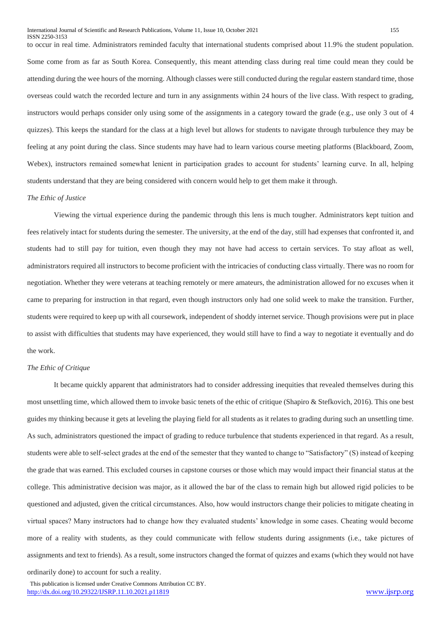to occur in real time. Administrators reminded faculty that international students comprised about 11.9% the student population. Some come from as far as South Korea. Consequently, this meant attending class during real time could mean they could be attending during the wee hours of the morning. Although classes were still conducted during the regular eastern standard time, those overseas could watch the recorded lecture and turn in any assignments within 24 hours of the live class. With respect to grading, instructors would perhaps consider only using some of the assignments in a category toward the grade (e.g., use only 3 out of 4 quizzes). This keeps the standard for the class at a high level but allows for students to navigate through turbulence they may be feeling at any point during the class. Since students may have had to learn various course meeting platforms (Blackboard, Zoom, Webex), instructors remained somewhat lenient in participation grades to account for students' learning curve. In all, helping students understand that they are being considered with concern would help to get them make it through.

## *The Ethic of Justice*

Viewing the virtual experience during the pandemic through this lens is much tougher. Administrators kept tuition and fees relatively intact for students during the semester. The university, at the end of the day, still had expenses that confronted it, and students had to still pay for tuition, even though they may not have had access to certain services. To stay afloat as well, administrators required all instructors to become proficient with the intricacies of conducting class virtually. There was no room for negotiation. Whether they were veterans at teaching remotely or mere amateurs, the administration allowed for no excuses when it came to preparing for instruction in that regard, even though instructors only had one solid week to make the transition. Further, students were required to keep up with all coursework, independent of shoddy internet service. Though provisions were put in place to assist with difficulties that students may have experienced, they would still have to find a way to negotiate it eventually and do the work.

## *The Ethic of Critique*

It became quickly apparent that administrators had to consider addressing inequities that revealed themselves during this most unsettling time, which allowed them to invoke basic tenets of the ethic of critique (Shapiro & Stefkovich, 2016). This one best guides my thinking because it gets at leveling the playing field for all students as it relates to grading during such an unsettling time. As such, administrators questioned the impact of grading to reduce turbulence that students experienced in that regard. As a result, students were able to self-select grades at the end of the semester that they wanted to change to "Satisfactory" (S) instead of keeping the grade that was earned. This excluded courses in capstone courses or those which may would impact their financial status at the college. This administrative decision was major, as it allowed the bar of the class to remain high but allowed rigid policies to be questioned and adjusted, given the critical circumstances. Also, how would instructors change their policies to mitigate cheating in virtual spaces? Many instructors had to change how they evaluated students' knowledge in some cases. Cheating would become more of a reality with students, as they could communicate with fellow students during assignments (i.e., take pictures of assignments and text to friends). As a result, some instructors changed the format of quizzes and exams (which they would not have

ordinarily done) to account for such a reality.

 This publication is licensed under Creative Commons Attribution CC BY. <http://dx.doi.org/10.29322/IJSRP.11.10.2021.p11819> [www.ijsrp.org](http://ijsrp.org/)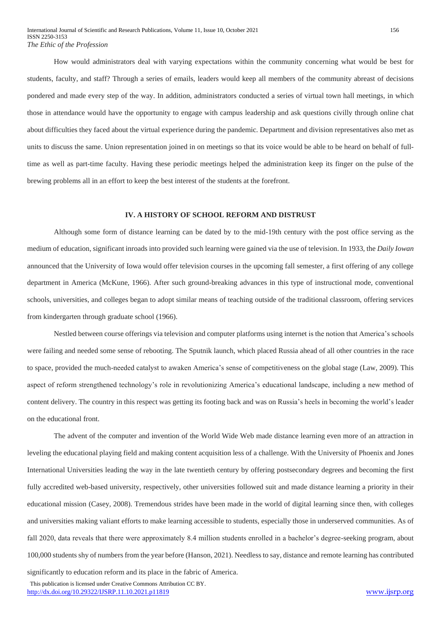How would administrators deal with varying expectations within the community concerning what would be best for students, faculty, and staff? Through a series of emails, leaders would keep all members of the community abreast of decisions pondered and made every step of the way. In addition, administrators conducted a series of virtual town hall meetings, in which those in attendance would have the opportunity to engage with campus leadership and ask questions civilly through online chat about difficulties they faced about the virtual experience during the pandemic. Department and division representatives also met as units to discuss the same. Union representation joined in on meetings so that its voice would be able to be heard on behalf of fulltime as well as part-time faculty. Having these periodic meetings helped the administration keep its finger on the pulse of the brewing problems all in an effort to keep the best interest of the students at the forefront.

## **IV. A HISTORY OF SCHOOL REFORM AND DISTRUST**

Although some form of distance learning can be dated by to the mid-19th century with the post office serving as the medium of education, significant inroads into provided such learning were gained via the use of television. In 1933, the *Daily Iowan* announced that the University of Iowa would offer television courses in the upcoming fall semester, a first offering of any college department in America (McKune, 1966). After such ground-breaking advances in this type of instructional mode, conventional schools, universities, and colleges began to adopt similar means of teaching outside of the traditional classroom, offering services from kindergarten through graduate school (1966).

Nestled between course offerings via television and computer platforms using internet is the notion that America's schools were failing and needed some sense of rebooting. The Sputnik launch, which placed Russia ahead of all other countries in the race to space, provided the much-needed catalyst to awaken America's sense of competitiveness on the global stage (Law, 2009). This aspect of reform strengthened technology's role in revolutionizing America's educational landscape, including a new method of content delivery. The country in this respect was getting its footing back and was on Russia's heels in becoming the world's leader on the educational front.

The advent of the computer and invention of the World Wide Web made distance learning even more of an attraction in leveling the educational playing field and making content acquisition less of a challenge. With the University of Phoenix and Jones International Universities leading the way in the late twentieth century by offering postsecondary degrees and becoming the first fully accredited web-based university, respectively, other universities followed suit and made distance learning a priority in their educational mission (Casey, 2008). Tremendous strides have been made in the world of digital learning since then, with colleges and universities making valiant efforts to make learning accessible to students, especially those in underserved communities. As of fall 2020, data reveals that there were approximately 8.4 million students enrolled in a bachelor's degree-seeking program, about 100,000 students shy of numbers from the year before (Hanson, 2021). Needless to say, distance and remote learning has contributed

significantly to education reform and its place in the fabric of America.

 This publication is licensed under Creative Commons Attribution CC BY. <http://dx.doi.org/10.29322/IJSRP.11.10.2021.p11819> [www.ijsrp.org](http://ijsrp.org/)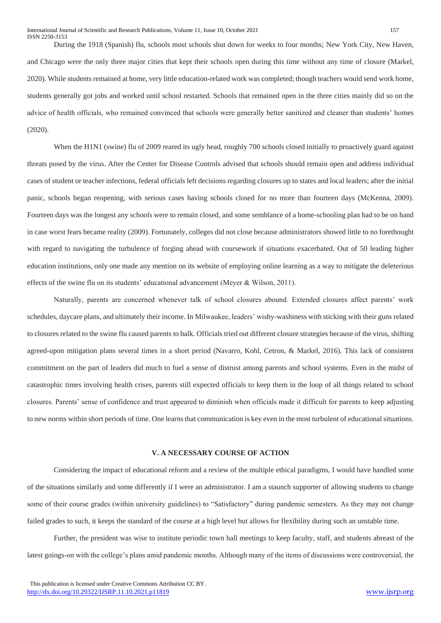During the 1918 (Spanish) flu, schools most schools shut down for weeks to four months; New York City, New Haven, and Chicago were the only three major cities that kept their schools open during this time without any time of closure (Markel, 2020). While students remained at home, very little education-related work was completed; though teachers would send work home, students generally got jobs and worked until school restarted. Schools that remained open in the three cities mainly did so on the advice of health officials, who remained convinced that schools were generally better sanitized and cleaner than students' homes (2020).

When the H1N1 (swine) flu of 2009 reared its ugly head, roughly 700 schools closed initially to proactively guard against threats posed by the virus. After the Center for Disease Controls advised that schools should remain open and address individual cases of student or teacher infections, federal officials left decisions regarding closures up to states and local leaders; after the initial panic, schools began reopening, with serious cases having schools closed for no more than fourteen days (McKenna, 2009). Fourteen days was the longest any schools were to remain closed, and some semblance of a home-schooling plan had to be on hand in case worst fears became reality (2009). Fortunately, colleges did not close because administrators showed little to no forethought with regard to navigating the turbulence of forging ahead with coursework if situations exacerbated. Out of 50 leading higher education institutions, only one made any mention on its website of employing online learning as a way to mitigate the deleterious effects of the swine flu on its students' educational advancement (Meyer & Wilson, 2011).

Naturally, parents are concerned whenever talk of school closures abound. Extended closures affect parents' work schedules, daycare plans, and ultimately their income. In Milwaukee, leaders' wishy-washiness with sticking with their guns related to closures related to the swine flu caused parents to balk. Officials tried out different closure strategies because of the virus, shifting agreed-upon mitigation plans several times in a short period (Navarro, Kohl, Cetron, & Markel, 2016). This lack of consistent commitment on the part of leaders did much to fuel a sense of distrust among parents and school systems. Even in the midst of catastrophic times involving health crises, parents still expected officials to keep them in the loop of all things related to school closures. Parents' sense of confidence and trust appeared to diminish when officials made it difficult for parents to keep adjusting to new norms within short periods of time. One learns that communication is key even in the most turbulent of educational situations.

## **V. A NECESSARY COURSE OF ACTION**

Considering the impact of educational reform and a review of the multiple ethical paradigms, I would have handled some of the situations similarly and some differently if I were an administrator. I am a staunch supporter of allowing students to change some of their course grades (within university guidelines) to "Satisfactory" during pandemic semesters. As they may not change failed grades to such, it keeps the standard of the course at a high level but allows for flexibility during such an unstable time.

Further, the president was wise to institute periodic town hall meetings to keep faculty, staff, and students abreast of the latest goings-on with the college's plans amid pandemic months. Although many of the items of discussions were controversial, the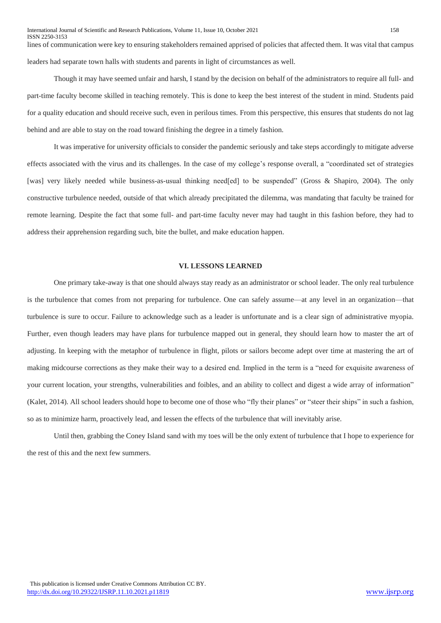lines of communication were key to ensuring stakeholders remained apprised of policies that affected them. It was vital that campus leaders had separate town halls with students and parents in light of circumstances as well.

Though it may have seemed unfair and harsh, I stand by the decision on behalf of the administrators to require all full- and part-time faculty become skilled in teaching remotely. This is done to keep the best interest of the student in mind. Students paid for a quality education and should receive such, even in perilous times. From this perspective, this ensures that students do not lag behind and are able to stay on the road toward finishing the degree in a timely fashion.

It was imperative for university officials to consider the pandemic seriously and take steps accordingly to mitigate adverse effects associated with the virus and its challenges. In the case of my college's response overall, a "coordinated set of strategies [was] very likely needed while business-as-usual thinking need[ed] to be suspended" (Gross & Shapiro, 2004). The only constructive turbulence needed, outside of that which already precipitated the dilemma, was mandating that faculty be trained for remote learning. Despite the fact that some full- and part-time faculty never may had taught in this fashion before, they had to address their apprehension regarding such, bite the bullet, and make education happen.

## **VI. LESSONS LEARNED**

One primary take-away is that one should always stay ready as an administrator or school leader. The only real turbulence is the turbulence that comes from not preparing for turbulence. One can safely assume––at any level in an organization––that turbulence is sure to occur. Failure to acknowledge such as a leader is unfortunate and is a clear sign of administrative myopia. Further, even though leaders may have plans for turbulence mapped out in general, they should learn how to master the art of adjusting. In keeping with the metaphor of turbulence in flight, pilots or sailors become adept over time at mastering the art of making midcourse corrections as they make their way to a desired end. Implied in the term is a "need for exquisite awareness of your current location, your strengths, vulnerabilities and foibles, and an ability to collect and digest a wide array of information" (Kalet, 2014). All school leaders should hope to become one of those who "fly their planes" or "steer their ships" in such a fashion, so as to minimize harm, proactively lead, and lessen the effects of the turbulence that will inevitably arise.

Until then, grabbing the Coney Island sand with my toes will be the only extent of turbulence that I hope to experience for the rest of this and the next few summers.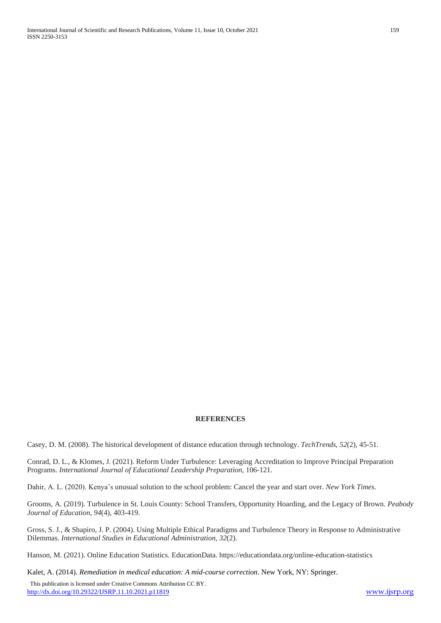## **REFERENCES**

Casey, D. M. (2008). The historical development of distance education through technology. *TechTrends*, *52*(2), 45-51.

Conrad, D. L., & Klomes, J. (2021). Reform Under Turbulence: Leveraging Accreditation to Improve Principal Preparation Programs. *International Journal of Educational Leadership Preparation*, 106-121.

Dahir, A. L. (2020). Kenya's unusual solution to the school problem: Cancel the year and start over. *New York Times*.

Grooms, A. (2019). Turbulence in St. Louis County: School Transfers, Opportunity Hoarding, and the Legacy of Brown. *Peabody Journal of Education*, *94*(4), 403-419.

Gross, S. J., & Shapiro, J. P. (2004). Using Multiple Ethical Paradigms and Turbulence Theory in Response to Administrative Dilemmas. *International Studies in Educational Administration*, *32*(2).

Hanson, M. (2021). Online Education Statistics. EducationData. https://educationdata.org/online-education-statistics

Kalet, A. (2014). *Remediation in medical education: A mid-course correction*. New York, NY: Springer.

 This publication is licensed under Creative Commons Attribution CC BY. <http://dx.doi.org/10.29322/IJSRP.11.10.2021.p11819> [www.ijsrp.org](http://ijsrp.org/)